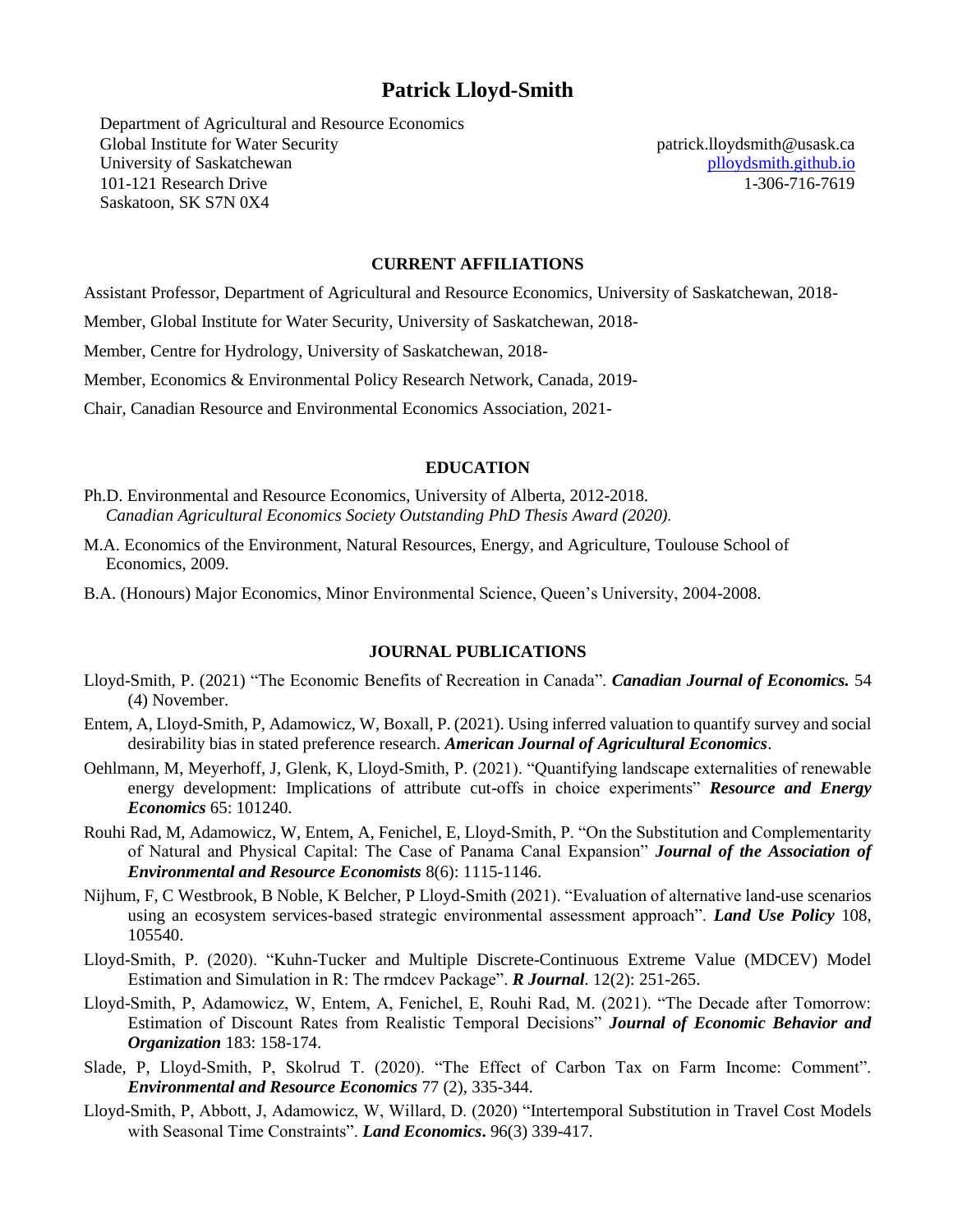# **Patrick Lloyd-Smith**

Department of Agricultural and Resource Economics Global Institute for Water Security University of Saskatchewan 101-121 Research Drive Saskatoon, SK S7N 0X4

patrick.lloydsmith@usask.ca [plloydsmith.github.io](https://plloydsmith.github.io/) 1-306-716-7619

#### **CURRENT AFFILIATIONS**

Assistant Professor, Department of Agricultural and Resource Economics, University of Saskatchewan, 2018-

Member, Global Institute for Water Security, University of Saskatchewan, 2018-

Member, Centre for Hydrology, University of Saskatchewan, 2018-

Member, Economics & Environmental Policy Research Network, Canada, 2019-

Chair, Canadian Resource and Environmental Economics Association, 2021-

#### **EDUCATION**

- Ph.D. Environmental and Resource Economics, University of Alberta, 2012-2018. *Canadian Agricultural Economics Society Outstanding PhD Thesis Award (2020).*
- M.A. Economics of the Environment, Natural Resources, Energy, and Agriculture, Toulouse School of Economics, 2009.
- B.A. (Honours) Major Economics, Minor Environmental Science, Queen's University, 2004-2008.

## **JOURNAL PUBLICATIONS**

- Lloyd-Smith, P. (2021) "The Economic Benefits of Recreation in Canada". *Canadian Journal of Economics.* 54 (4) November.
- Entem, A, Lloyd-Smith, P, Adamowicz, W, Boxall, P. (2021). Using inferred valuation to quantify survey and social desirability bias in stated preference research. *American Journal of Agricultural Economics*.
- Oehlmann, M, Meyerhoff, J, Glenk, K, Lloyd-Smith, P. (2021). "Quantifying landscape externalities of renewable energy development: Implications of attribute cut-offs in choice experiments" *Resource and Energy Economics* 65: 101240.
- Rouhi Rad, M, Adamowicz, W, Entem, A, Fenichel, E, Lloyd-Smith, P. "On the Substitution and Complementarity of Natural and Physical Capital: The Case of Panama Canal Expansion" *Journal of the Association of Environmental and Resource Economists* 8(6): 1115-1146.
- Nijhum, F, C Westbrook, B Noble, K Belcher, P Lloyd-Smith (2021). "Evaluation of alternative land-use scenarios using an ecosystem services-based strategic environmental assessment approach". *Land Use Policy* 108, 105540.
- Lloyd-Smith, P. (2020). "Kuhn-Tucker and Multiple Discrete-Continuous Extreme Value (MDCEV) Model Estimation and Simulation in R: The rmdcev Package". *R Journal*. 12(2): 251-265.
- Lloyd-Smith, P, Adamowicz, W, Entem, A, Fenichel, E, Rouhi Rad, M. (2021). "The Decade after Tomorrow: Estimation of Discount Rates from Realistic Temporal Decisions" *Journal of Economic Behavior and Organization* 183: 158-174.
- Slade, P, Lloyd-Smith, P, Skolrud T. (2020). "The Effect of Carbon Tax on Farm Income: Comment". *Environmental and Resource Economics* 77 (2), 335-344.
- Lloyd-Smith, P, Abbott, J, Adamowicz, W, Willard, D. (2020) "Intertemporal Substitution in Travel Cost Models with Seasonal Time Constraints". *Land Economics***.** 96(3) 339-417.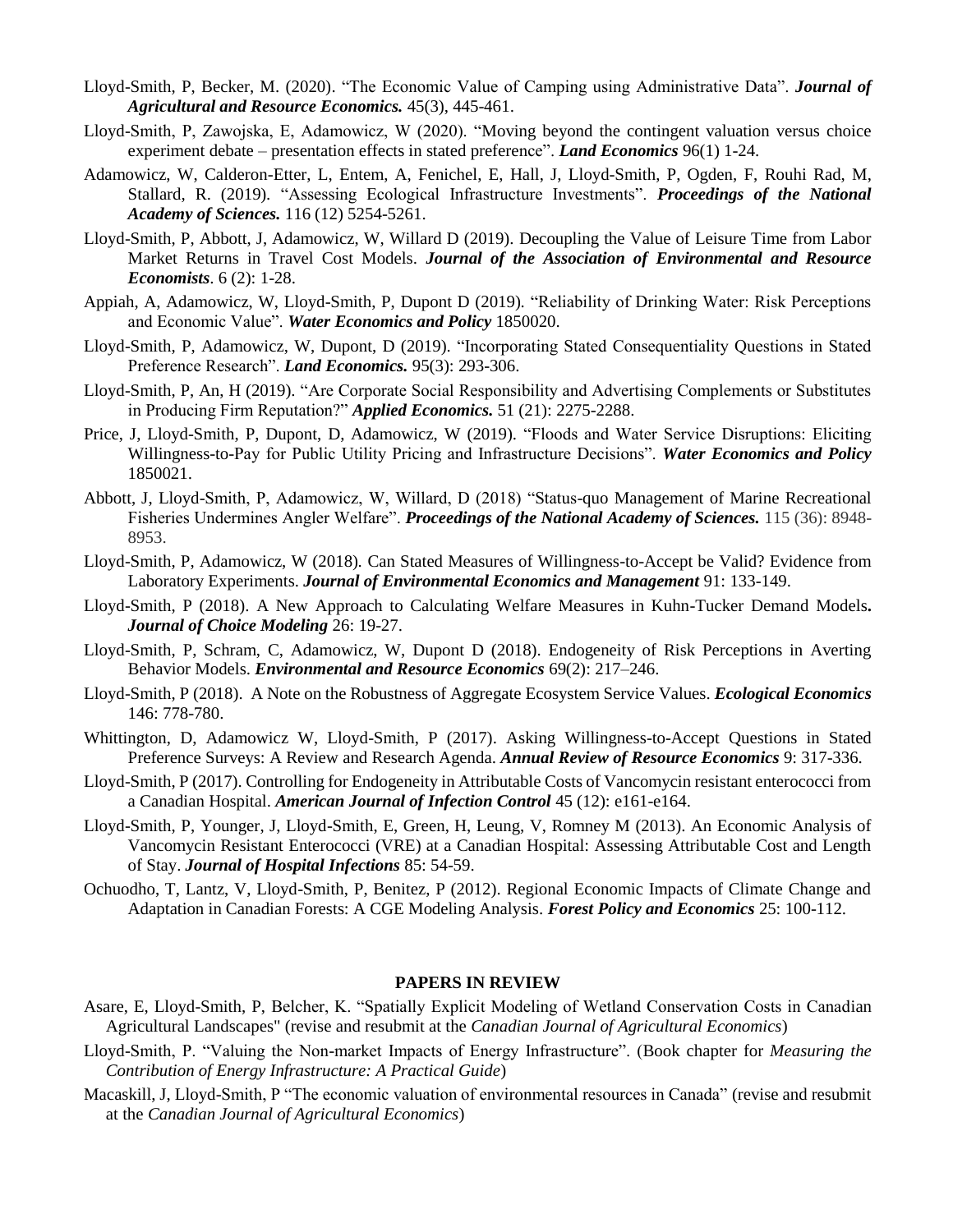- Lloyd-Smith, P, Becker, M. (2020). "The Economic Value of Camping using Administrative Data". *Journal of Agricultural and Resource Economics.* 45(3), 445-461.
- Lloyd-Smith, P, Zawojska, E, Adamowicz, W (2020). "Moving beyond the contingent valuation versus choice experiment debate – presentation effects in stated preference". *Land Economics* 96(1) 1-24.
- Adamowicz, W, Calderon-Etter, L, Entem, A, Fenichel, E, Hall, J, Lloyd-Smith, P, Ogden, F, Rouhi Rad, M, Stallard, R. (2019)*.* "Assessing Ecological Infrastructure Investments". *Proceedings of the National Academy of Sciences.* 116 (12) 5254-5261.
- Lloyd-Smith, P, Abbott, J, Adamowicz, W, Willard D (2019)*.* Decoupling the Value of Leisure Time from Labor Market Returns in Travel Cost Models. *Journal of the Association of Environmental and Resource Economists*. 6 (2): 1-28.
- Appiah, A, Adamowicz, W, Lloyd-Smith, P, Dupont D (2019)*.* "Reliability of Drinking Water: Risk Perceptions and Economic Value". *Water Economics and Policy* 1850020.
- Lloyd-Smith, P, Adamowicz, W, Dupont, D (2019)*.* "Incorporating Stated Consequentiality Questions in Stated Preference Research". *Land Economics.* 95(3): 293-306.
- Lloyd-Smith, P, An, H (2019)*.* "Are Corporate Social Responsibility and Advertising Complements or Substitutes in Producing Firm Reputation?" *Applied Economics.* 51 (21): 2275-2288.
- Price, J, Lloyd-Smith, P, Dupont, D, Adamowicz, W (2019)*.* "Floods and Water Service Disruptions: Eliciting Willingness-to-Pay for Public Utility Pricing and Infrastructure Decisions". *Water Economics and Policy*  1850021.
- Abbott, J, Lloyd-Smith, P, Adamowicz, W, Willard, D (2018) "Status-quo Management of Marine Recreational Fisheries Undermines Angler Welfare". *Proceedings of the National Academy of Sciences.* 115 (36): 8948- 8953.
- Lloyd-Smith, P, Adamowicz, W (2018)*.* Can Stated Measures of Willingness-to-Accept be Valid? Evidence from Laboratory Experiments. *Journal of Environmental Economics and Management* 91: 133-149.
- Lloyd-Smith, P (2018). A New Approach to Calculating Welfare Measures in Kuhn-Tucker Demand Models**.** *Journal of Choice Modeling* 26: 19-27.
- Lloyd-Smith, P, Schram, C, Adamowicz, W, Dupont D (2018). Endogeneity of Risk Perceptions in Averting Behavior Models. *Environmental and Resource Economics* 69(2): 217–246.
- Lloyd-Smith, P (2018). A Note on the Robustness of Aggregate Ecosystem Service Values. *Ecological Economics* 146: 778-780.
- Whittington, D, Adamowicz W, Lloyd-Smith, P (2017). Asking Willingness-to-Accept Questions in Stated Preference Surveys: A Review and Research Agenda. *Annual Review of Resource Economics* 9: 317-336.
- Lloyd-Smith, P (2017). Controlling for Endogeneity in Attributable Costs of Vancomycin resistant enterococci from a Canadian Hospital. *American Journal of Infection Control* 45 (12): e161-e164.
- Lloyd-Smith, P, Younger, J, Lloyd-Smith, E, Green, H, Leung, V, Romney M (2013). An Economic Analysis of Vancomycin Resistant Enterococci (VRE) at a Canadian Hospital: Assessing Attributable Cost and Length of Stay. *Journal of Hospital Infections* 85: 54-59.
- Ochuodho, T, Lantz, V, Lloyd-Smith, P, Benitez, P (2012). Regional Economic Impacts of Climate Change and Adaptation in Canadian Forests: A CGE Modeling Analysis. *Forest Policy and Economics* 25: 100-112.

#### **PAPERS IN REVIEW**

- Asare, E, Lloyd-Smith, P, Belcher, K. "Spatially Explicit Modeling of Wetland Conservation Costs in Canadian Agricultural Landscapes" (revise and resubmit at the *Canadian Journal of Agricultural Economics*)
- Lloyd-Smith, P. "Valuing the Non-market Impacts of Energy Infrastructure". (Book chapter for *Measuring the Contribution of Energy Infrastructure: A Practical Guide*)
- Macaskill, J, Lloyd-Smith, P "The economic valuation of environmental resources in Canada" (revise and resubmit at the *Canadian Journal of Agricultural Economics*)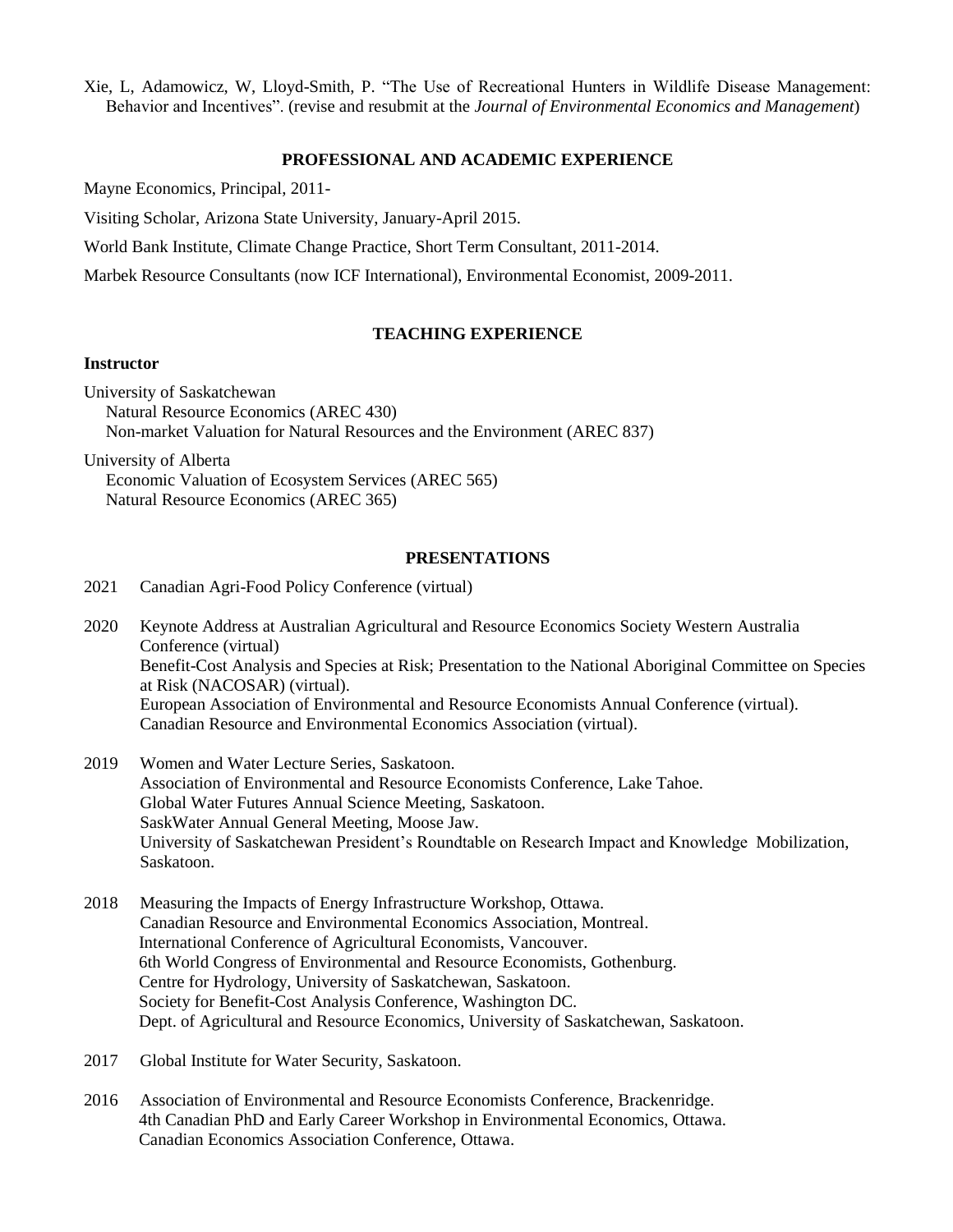Xie, L, Adamowicz, W, Lloyd-Smith, P. "The Use of Recreational Hunters in Wildlife Disease Management: Behavior and Incentives". (revise and resubmit at the *Journal of Environmental Economics and Management*)

#### **PROFESSIONAL AND ACADEMIC EXPERIENCE**

Mayne Economics, Principal, 2011-

Visiting Scholar, Arizona State University, January-April 2015.

World Bank Institute, Climate Change Practice, Short Term Consultant, 2011-2014.

Marbek Resource Consultants (now ICF International), Environmental Economist, 2009-2011.

# **TEACHING EXPERIENCE**

#### **Instructor**

University of Saskatchewan Natural Resource Economics (AREC 430) Non-market Valuation for Natural Resources and the Environment (AREC 837)

University of Alberta

Economic Valuation of Ecosystem Services (AREC 565) Natural Resource Economics (AREC 365)

# **PRESENTATIONS**

- 2021 Canadian Agri-Food Policy Conference (virtual)
- 2020 Keynote Address at Australian Agricultural and Resource Economics Society Western Australia Conference (virtual) Benefit-Cost Analysis and Species at Risk; Presentation to the National Aboriginal Committee on Species at Risk (NACOSAR) (virtual). European Association of Environmental and Resource Economists Annual Conference (virtual). Canadian Resource and Environmental Economics Association (virtual).
- 2019 Women and Water Lecture Series, Saskatoon. Association of Environmental and Resource Economists Conference, Lake Tahoe. Global Water Futures Annual Science Meeting, Saskatoon. SaskWater Annual General Meeting, Moose Jaw. University of Saskatchewan President's Roundtable on Research Impact and Knowledge Mobilization, Saskatoon.
- 2018 Measuring the Impacts of Energy Infrastructure Workshop, Ottawa. Canadian Resource and Environmental Economics Association, Montreal. International Conference of Agricultural Economists, Vancouver. 6th World Congress of Environmental and Resource Economists, Gothenburg. Centre for Hydrology, University of Saskatchewan, Saskatoon. Society for Benefit-Cost Analysis Conference, Washington DC. Dept. of Agricultural and Resource Economics, University of Saskatchewan, Saskatoon.
- 2017 Global Institute for Water Security, Saskatoon.
- 2016 Association of Environmental and Resource Economists Conference, Brackenridge. 4th Canadian PhD and Early Career Workshop in Environmental Economics, Ottawa. Canadian Economics Association Conference, Ottawa.